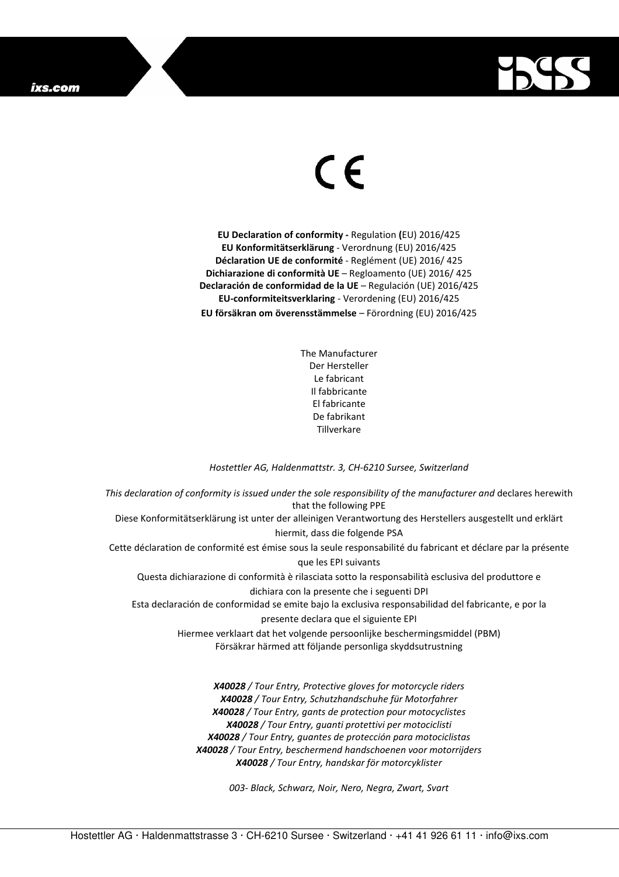

## $\in$

**EU Declaration of conformity -** Regulation **(**EU) 2016/425 **EU Konformitätserklärung** - Verordnung (EU) 2016/425 **Déclaration UE de conformité** - Reglément (UE) 2016/ 425 **Dichiarazione di conformità UE** – Regloamento (UE) 2016/ 425 **Declaración de conformidad de la UE** – Regulación (UE) 2016/425 **EU-conformiteitsverklaring** - Verordening (EU) 2016/425 **EU försäkran om överensstämmelse** – Förordning (EU) 2016/425

> The Manufacturer Der Hersteller Le fabricant Il fabbricante El fabricante De fabrikant Tillverkare

## *Hostettler AG, Haldenmattstr. 3, CH-6210 Sursee, Switzerland*

*This declaration of conformity is issued under the sole responsibility of the manufacturer and* declares herewith that the following PPE Diese Konformitätserklärung ist unter der alleinigen Verantwortung des Herstellers ausgestellt und erklärt hiermit, dass die folgende PSA Cette déclaration de conformité est émise sous la seule responsabilité du fabricant et déclare par la présente que les EPI suivants Questa dichiarazione di conformità è rilasciata sotto la responsabilità esclusiva del produttore e dichiara con la presente che i seguenti DPI Esta declaración de conformidad se emite bajo la exclusiva responsabilidad del fabricante, e por la presente declara que el siguiente EPI Hiermee verklaart dat het volgende persoonlijke beschermingsmiddel (PBM) Försäkrar härmed att följande personliga skyddsutrustning *X40028 / Tour Entry, Protective gloves for motorcycle riders X40028 / Tour Entry, Schutzhandschuhe für Motorfahrer X40028 / Tour Entry, gants de protection pour motocyclistes X40028 / Tour Entry, guanti protettivi per motociclisti* 

> *X40028 / Tour Entry, guantes de protección para motociclistas X40028 / Tour Entry, beschermend handschoenen voor motorrijders X40028 / Tour Entry, handskar för motorcyklister*

> > *003- Black, Schwarz, Noir, Nero, Negra, Zwart, Svart*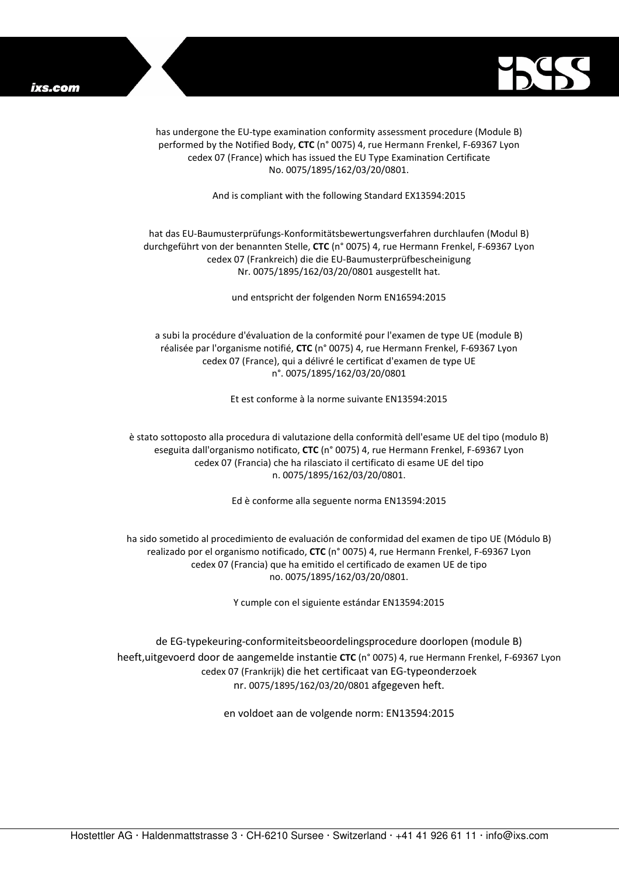

has undergone the EU-type examination conformity assessment procedure (Module B) performed by the Notified Body, **CTC** (n° 0075) 4, rue Hermann Frenkel, F-69367 Lyon cedex 07 (France) which has issued the EU Type Examination Certificate No. 0075/1895/162/03/20/0801.

And is compliant with the following Standard EX13594:2015

## hat das EU-Baumusterprüfungs-Konformitätsbewertungsverfahren durchlaufen (Modul B) durchgeführt von der benannten Stelle, **CTC** (n° 0075) 4, rue Hermann Frenkel, F-69367 Lyon cedex 07 (Frankreich) die die EU-Baumusterprüfbescheinigung Nr. 0075/1895/162/03/20/0801 ausgestellt hat.

und entspricht der folgenden Norm EN16594:2015

a subi la procédure d'évaluation de la conformité pour l'examen de type UE (module B) réalisée par l'organisme notifié, **CTC** (n° 0075) 4, rue Hermann Frenkel, F-69367 Lyon cedex 07 (France), qui a délivré le certificat d'examen de type UE n°. 0075/1895/162/03/20/0801

Et est conforme à la norme suivante EN13594:2015

è stato sottoposto alla procedura di valutazione della conformità dell'esame UE del tipo (modulo B) eseguita dall'organismo notificato, **CTC** (n° 0075) 4, rue Hermann Frenkel, F-69367 Lyon cedex 07 (Francia) che ha rilasciato il certificato di esame UE del tipo n. 0075/1895/162/03/20/0801.

Ed è conforme alla seguente norma EN13594:2015

ha sido sometido al procedimiento de evaluación de conformidad del examen de tipo UE (Módulo B) realizado por el organismo notificado, **CTC** (n° 0075) 4, rue Hermann Frenkel, F-69367 Lyon cedex 07 (Francia) que ha emitido el certificado de examen UE de tipo no. 0075/1895/162/03/20/0801.

Y cumple con el siguiente estándar EN13594:2015

de EG-typekeuring-conformiteitsbeoordelingsprocedure doorlopen (module B) heeft,uitgevoerd door de aangemelde instantie **CTC** (n° 0075) 4, rue Hermann Frenkel, F-69367 Lyon cedex 07 (Frankrijk) die het certificaat van EG-typeonderzoek nr. 0075/1895/162/03/20/0801 afgegeven heft.

en voldoet aan de volgende norm: EN13594:2015